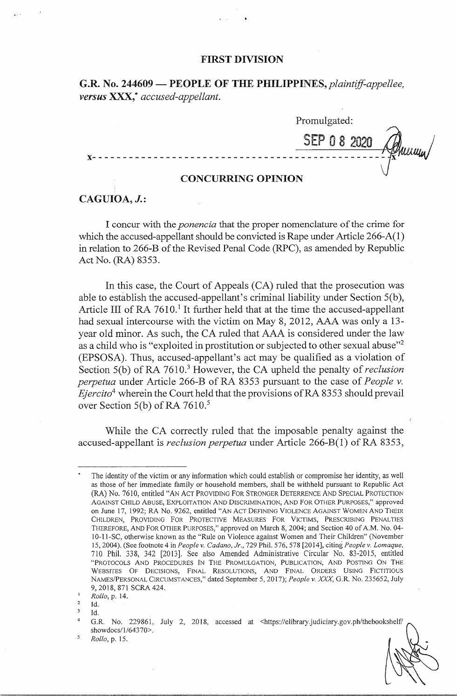## **FIRST DIVISION**

**G.R. No. 244609-PEOPLE OF THE** *PHILIPPINES,plaintiff-appellee, versus* **XXX,\*** *accused-appellant.* 

Promulgated: **Y**- - - - - - - - - - -

## **CONCURRING OPINION**

## **CAGUIOA, J.:**

I concur with the *ponencia* that the proper nomenclature of the crime for which the accused-appellant should be convicted is Rape under Article 266-A(1) in relation to 266-B of the Revised Penal Code (RPC), as amended by Republic Act No. (RA) 8353.

In this case, the Court of Appeals (CA) ruled that the prosecution was able to establish the accused-appellant's criminal liability under Section 5(b), Article III of RA  $7610<sup>1</sup>$  It further held that at the time the accused-appellant had sexual intercourse with the victim on May 8, 2012, AAA was only a 13 year old minor. As such, the CA ruled that AAA is considered under the law as a child who is "exploited in prostitution or subjected to other sexual abuse"<sup>2</sup> (EPSOSA). Thus, accused-appellant's act may be qualified as a violation of Section 5(b) of RA 7610.<sup>3</sup> However, the CA upheld the penalty of *reclusion perpetua* under Article 266-B of RA 8353 pursuant to the case of *People v.*   $Ejercito<sup>4</sup>$  wherein the Court held that the provisions of RA 8353 should prevail over Section 5(b) of RA 7610.<sup>5</sup>

While the CA correctly ruled that the imposable penalty against the accused-appellant is *reclusion perpetua* under Article 266-B(l) of RA 8353,

Id.

*Rollo,* p. 15.

The identity of the victim or any information which could establish or compromise her identity, as well as those of her immediate family or household members, shall be withheld pursuant to Republic Act (RA) No. 7610, entitled "AN ACT PROVIDING FOR STRONGER DETERRENCE AND SPECIAL PROTECTION AGAINST CHILD ABUSE, EXPLOITATION AND DISCRIMINATION, AND FOR OTHER PURPOSES," approved on June 17, 1992; RA No. 9262, entitled "AN ACT DEFINING VIOLENCE AGAINST WOMEN AND THEIR CHILDREN, PROVIDING FOR PROTECTIVE MEASURES FOR VICTIMS, PRESCRIBING PENALTIES THEREFORE, AND FOR OTHER PURPOSES," approved on March 8, 2004; and Section 40 of A.M. No. 04- 10-11-SC, otherwise known as the "Rule on Violence against Women and Their Children" (November 15, 2004). (See footnote 4 in *People v. Cadano, Jr.,* 729 Phil. 576, 578 [2014], citing *People v. Lomaque,*  710 Phil. 338, 342 [2013]. See also Amended Administrative Circular No. 83-2015, entitled "PROTOCOLS AND PROCEDURES IN THE PROMULGATION, PUBLICATION, AND POSTING ON THE WEBSITES OF DECISIONS, FINAL RESOLUTIONS, AND FINAL ORDERS USING FICTITIOUS NAMES/PERSONAL CIRCUMSTANCES," dated September 5, 2017); *People v.* XXX, G.R. No. 235652, July 9, 2018, 871 SCRA 424.

*Rollo,* p. 14.

Id.  $\overline{\mathbf{3}}$ 

G.R. No. 229861, July 2, 2018, accessed at <https://elibrary.judiciary.gov.ph/thebookshelf/ showdocs/1/64370>.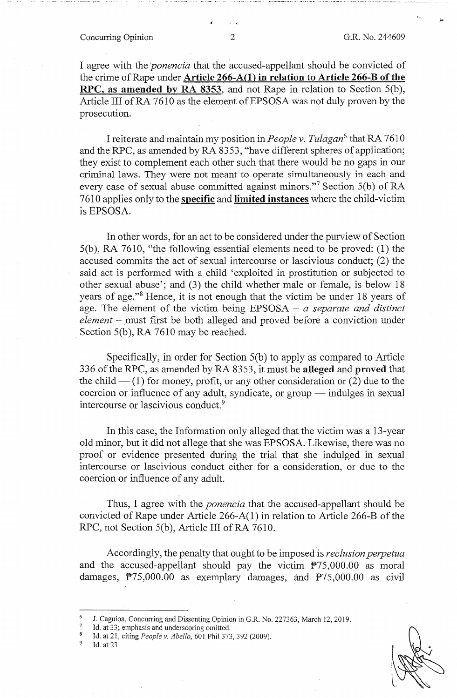I agree with the *ponencia* that the accused-appellant should be convicted of the crime of Rape under **Article 266-A(l) in relation** to **Article 266-B of the RPC, as amended by RA 8353,** and not Rape in relation to Section 5(b ), Article III of RA 7610 as the element of EPSOSA was not duly proven by the prosecution.

I reiterate and maintain my position in *People v. Tulagan*<sup>6</sup> that RA 7610 and the RPC, as amended by RA 8353, "have different spheres of application; they exist to complement each other such that there would be no gaps in our criminal laws. They were not meant to operate simultaneously in each and every case of sexual abuse committed against minors."7 Section 5(b) of RA 7 610 applies only to the **specific** and **limited instances** where the child-victim is EPSOSA.

In other words, for an act to be considered under the purview of Section 5(b), RA 7610, "the following essential elements need to be proved: (1) the accused commits the act of sexual intercourse or lascivious conduct; (2) the said act is performed with a child 'exploited in prostitution or subjected to other sexual abuse'; and (3) the child whether male or female, is below 18 years of age."<sup>8</sup> Hence, it is not enough that the victim be under 18 years of age. The element of the victim being EPSOSA - *a separate and distinct element* – must first be both alleged and proved before a conviction under Section 5(b), RA 7610 may be reached.

Specifically, in order for Section 5(b) to apply as compared to Article 336 of the RPC, as amended by RA 8353, it must be **alleged** and **proved** that the child  $- (1)$  for money, profit, or any other consideration or (2) due to the coercion or influence of any adult, syndicate, or group  $-$  indulges in sexual intercourse or lascivious conduct.<sup>9</sup>

In this case, the Information only alleged that the victim was a 13-year old minor, but it did not allege that she was EPSOSA. Likewise, there was no proof or evidence presented during the trial that she indulged in sexual intercourse or lascivious conduct either for a consideration, or due to the coercion or influence of any adult.

Thus, I agree with the *ponencia* that the accused-appellant should be convicted of Rape under Article 266-A(l) in relation to Article 266-B of the RPC, not Section 5(b), Article III of RA 7610.

Accordingly, the penalty that ought to be imposed is *reclusion perpetua*  and the accused-appellant should pay the victim  $P75,000.00$  as moral damages,  $P75,000.00$  as exemplary damages, and  $P75,000.00$  as civil

<sup>6</sup>J. Caguioa, Concurring and Dissenting Opinion in G.R. No. 227363, March 12, 2019.

<sup>&</sup>lt;sup>7</sup> Id. at 33; emphasis and underscoring omitted.<br><sup>8</sup> Id. at 31, eiting *Passion*, *Abella*, 601, Phil 373

<sup>&</sup>lt;sup>8</sup> Id. at 21, citing *People v. Abello*, 601 Phil 373, 392 (2009).

Id. at 23.